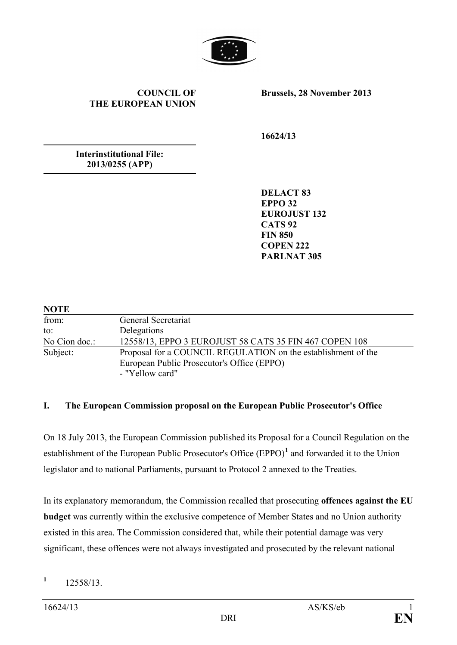

## **COUNCIL OF THE EUROPEAN UNION**

**Brussels, 28 November 2013**

**16624/13**

**Interinstitutional File: 2013/0255 (APP)**

> **DELACT 83 EPPO 32 EUROJUST 132 CATS 92 FIN 850 COPEN 222 PARLNAT 305**

| <b>NOTE</b>   |                                                                                                                                |  |
|---------------|--------------------------------------------------------------------------------------------------------------------------------|--|
| from:         | General Secretariat                                                                                                            |  |
| to:           | Delegations                                                                                                                    |  |
| No Cion doc.: | 12558/13, EPPO 3 EUROJUST 58 CATS 35 FIN 467 COPEN 108                                                                         |  |
| Subject:      | Proposal for a COUNCIL REGULATION on the establishment of the<br>European Public Prosecutor's Office (EPPO)<br>- "Yellow card" |  |

## **I. The European Commission proposal on the European Public Prosecutor's Office**

On 18 July 2013, the European Commission published its Proposal for a Council Regulation on the establishment of the European Public Prosecutor's Office (EPPO)**[1](#page-0-0)** and forwarded it to the Union legislator and to national Parliaments, pursuant to Protocol 2 annexed to the Treaties.

In its explanatory memorandum, the Commission recalled that prosecuting **offences against the EU budget** was currently within the exclusive competence of Member States and no Union authority existed in this area. The Commission considered that, while their potential damage was very significant, these offences were not always investigated and prosecuted by the relevant national

<span id="page-0-0"></span>**<sup>1</sup>** 12558/13.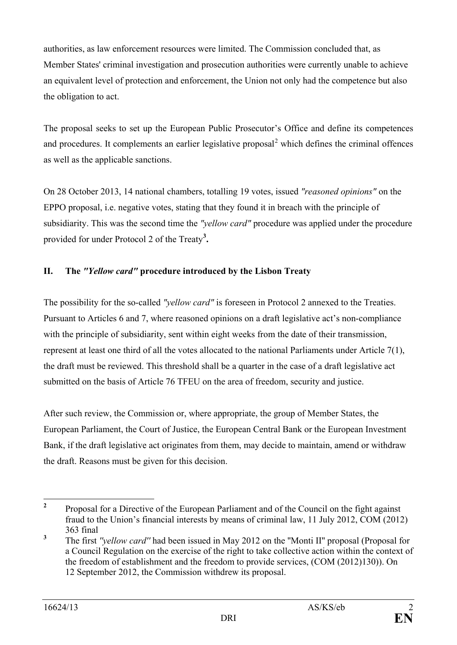authorities, as law enforcement resources were limited. The Commission concluded that, as Member States' criminal investigation and prosecution authorities were currently unable to achieve an equivalent level of protection and enforcement, the Union not only had the competence but also the obligation to act.

The proposal seeks to set up the European Public Prosecutor's Office and define its competences and procedures. It complements an earlier legislative proposal $<sup>2</sup>$  $<sup>2</sup>$  $<sup>2</sup>$  which defines the criminal offences</sup> as well as the applicable sanctions.

On 28 October 2013, 14 national chambers, totalling 19 votes, issued *"reasoned opinions"* on the EPPO proposal, i.e. negative votes, stating that they found it in breach with the principle of subsidiarity. This was the second time the *"yellow card"* procedure was applied under the procedure provided for under Protocol 2 of the Treaty**[3](#page-1-1) .**

## **II. The** *"Yellow card"* **procedure introduced by the Lisbon Treaty**

The possibility for the so-called *"yellow card"* is foreseen in Protocol 2 annexed to the Treaties. Pursuant to Articles 6 and 7, where reasoned opinions on a draft legislative act's non-compliance with the principle of subsidiarity, sent within eight weeks from the date of their transmission, represent at least one third of all the votes allocated to the national Parliaments under Article 7(1), the draft must be reviewed. This threshold shall be a quarter in the case of a draft legislative act submitted on the basis of Article 76 TFEU on the area of freedom, security and justice.

After such review, the Commission or, where appropriate, the group of Member States, the European Parliament, the Court of Justice, the European Central Bank or the European Investment Bank, if the draft legislative act originates from them, may decide to maintain, amend or withdraw the draft. Reasons must be given for this decision.

<span id="page-1-0"></span>**<sup>2</sup>** Proposal for a Directive of the European Parliament and of the Council on the fight against fraud to the Union's financial interests by means of criminal law, 11 July 2012, COM (2012) 363 final

<span id="page-1-1"></span>**<sup>3</sup>** The first *''yellow card''* had been issued in May 2012 on the ''Monti II'' proposal (Proposal for a Council Regulation on the exercise of the right to take collective action within the context of the freedom of establishment and the freedom to provide services, (COM (2012)130)). On 12 September 2012, the Commission withdrew its proposal.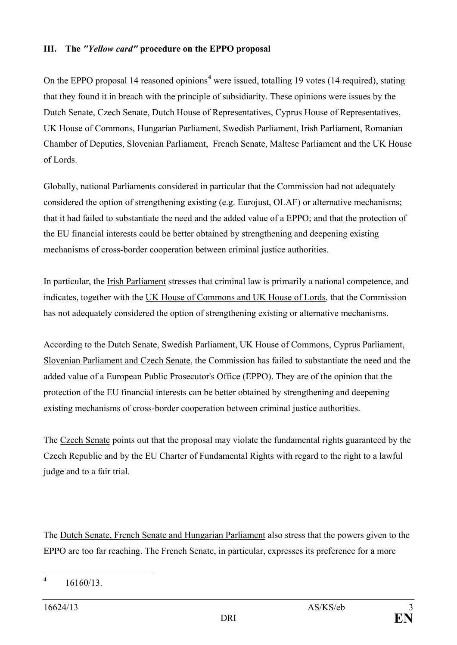## **III. The** *"Yellow card"* **procedure on the EPPO proposal**

On the EPPO proposal 1[4](#page-2-0) reasoned opinions<sup>4</sup> were issued, totalling 19 votes (14 required), stating that they found it in breach with the principle of subsidiarity. These opinions were issues by the Dutch Senate, Czech Senate, Dutch House of Representatives, Cyprus House of Representatives, UK House of Commons, Hungarian Parliament, Swedish Parliament, Irish Parliament, Romanian Chamber of Deputies, Slovenian Parliament, French Senate, Maltese Parliament and the UK House of Lords.

Globally, national Parliaments considered in particular that the Commission had not adequately considered the option of strengthening existing (e.g. Eurojust, OLAF) or alternative mechanisms; that it had failed to substantiate the need and the added value of a EPPO; and that the protection of the EU financial interests could be better obtained by strengthening and deepening existing mechanisms of cross-border cooperation between criminal justice authorities.

In particular, the Irish Parliament stresses that criminal law is primarily a national competence, and indicates, together with the UK House of Commons and UK House of Lords, that the Commission has not adequately considered the option of strengthening existing or alternative mechanisms.

According to the Dutch Senate, Swedish Parliament, UK House of Commons, Cyprus Parliament, Slovenian Parliament and Czech Senate, the Commission has failed to substantiate the need and the added value of a European Public Prosecutor's Office (EPPO). They are of the opinion that the protection of the EU financial interests can be better obtained by strengthening and deepening existing mechanisms of cross-border cooperation between criminal justice authorities.

The Czech Senate points out that the proposal may violate the fundamental rights guaranteed by the Czech Republic and by the EU Charter of Fundamental Rights with regard to the right to a lawful judge and to a fair trial.

The Dutch Senate, French Senate and Hungarian Parliament also stress that the powers given to the EPPO are too far reaching. The French Senate, in particular, expresses its preference for a more

<span id="page-2-0"></span>**<sup>4</sup>** 16160/13.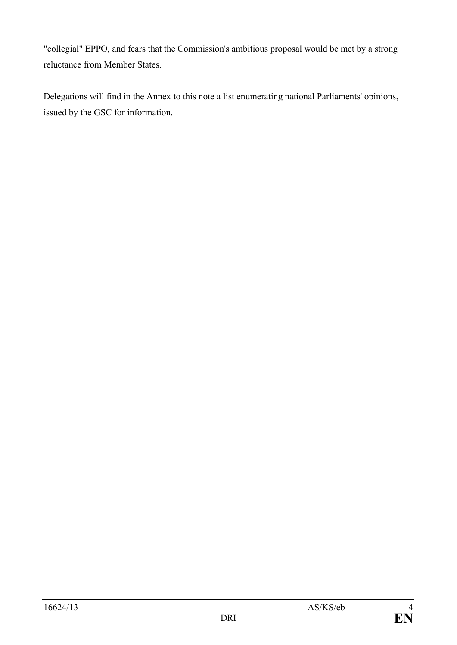"collegial" EPPO, and fears that the Commission's ambitious proposal would be met by a strong reluctance from Member States.

Delegations will find in the Annex to this note a list enumerating national Parliaments' opinions, issued by the GSC for information.